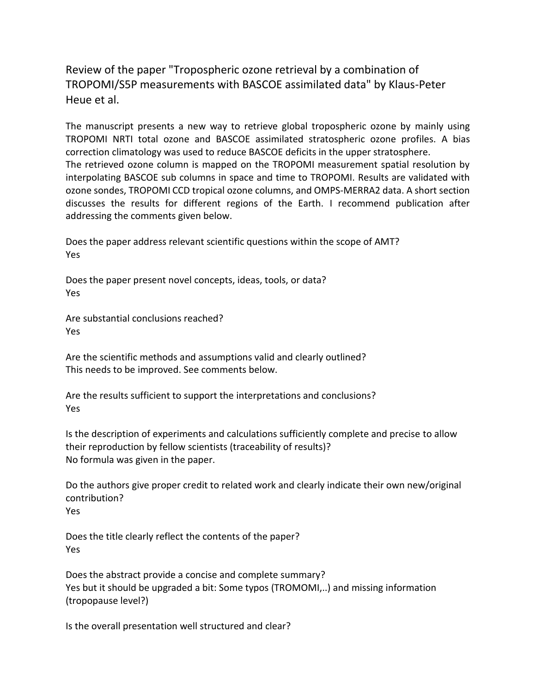Review of the paper "Tropospheric ozone retrieval by a combination of TROPOMI/S5P measurements with BASCOE assimilated data" by Klaus-Peter Heue et al.

The manuscript presents a new way to retrieve global tropospheric ozone by mainly using TROPOMI NRTI total ozone and BASCOE assimilated stratospheric ozone profiles. A bias correction climatology was used to reduce BASCOE deficits in the upper stratosphere. The retrieved ozone column is mapped on the TROPOMI measurement spatial resolution by interpolating BASCOE sub columns in space and time to TROPOMI. Results are validated with ozone sondes, TROPOMI CCD tropical ozone columns, and OMPS-MERRA2 data. A short section discusses the results for different regions of the Earth. I recommend publication after addressing the comments given below.

Does the paper address relevant scientific questions within the scope of AMT? Yes

Does the paper present novel concepts, ideas, tools, or data? Yes

Are substantial conclusions reached? Yes

Are the scientific methods and assumptions valid and clearly outlined? This needs to be improved. See comments below.

Are the results sufficient to support the interpretations and conclusions? Yes

Is the description of experiments and calculations sufficiently complete and precise to allow their reproduction by fellow scientists (traceability of results)? No formula was given in the paper.

Do the authors give proper credit to related work and clearly indicate their own new/original contribution? Yes

Does the title clearly reflect the contents of the paper? Yes

Does the abstract provide a concise and complete summary? Yes but it should be upgraded a bit: Some typos (TROMOMI,..) and missing information (tropopause level?)

Is the overall presentation well structured and clear?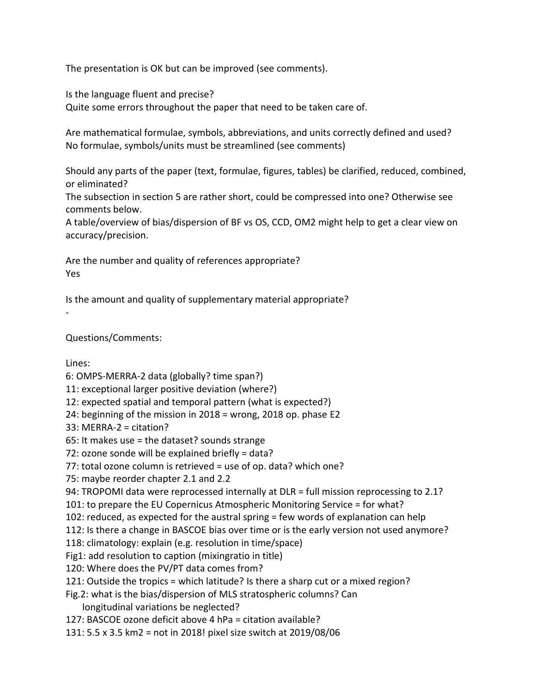The presentation is OK but can be improved (see comments).

Is the language fluent and precise?

Quite some errors throughout the paper that need to be taken care of.

Are mathematical formulae, symbols, abbreviations, and units correctly defined and used? No formulae, symbols/units must be streamlined (see comments)

Should any parts of the paper (text, formulae, figures, tables) be clarified, reduced, combined, or eliminated?

The subsection in section 5 are rather short, could be compressed into one? Otherwise see comments below.

A table/overview of bias/dispersion of BF vs OS, CCD, OM2 might help to get a clear view on accuracy/precision.

Are the number and quality of references appropriate? Yes

Is the amount and quality of supplementary material appropriate?

Questions/Comments:

Lines:

-

6: OMPS-MERRA-2 data (globally? time span?)

11: exceptional larger positive deviation (where?)

12: expected spatial and temporal pattern (what is expected?)

24: beginning of the mission in 2018 = wrong, 2018 op. phase E2

33: MERRA-2 = citation?

65: It makes use = the dataset? sounds strange

72: ozone sonde will be explained briefly = data?

77: total ozone column is retrieved = use of op. data? which one?

75: maybe reorder chapter 2.1 and 2.2

94: TROPOMI data were reprocessed internally at DLR = full mission reprocessing to 2.1?

101: to prepare the EU Copernicus Atmospheric Monitoring Service = for what?

102: reduced, as expected for the austral spring = few words of explanation can help

112: Is there a change in BASCOE bias over time or is the early version not used anymore?

118: climatology: explain (e.g. resolution in time/space)

Fig1: add resolution to caption (mixingratio in title)

120: Where does the PV/PT data comes from?

121: Outside the tropics = which latitude? Is there a sharp cut or a mixed region?

Fig.2: what is the bias/dispersion of MLS stratospheric columns? Can longitudinal variations be neglected?

127: BASCOE ozone deficit above 4 hPa = citation available?

131: 5.5 x 3.5 km2 = not in 2018! pixel size switch at 2019/08/06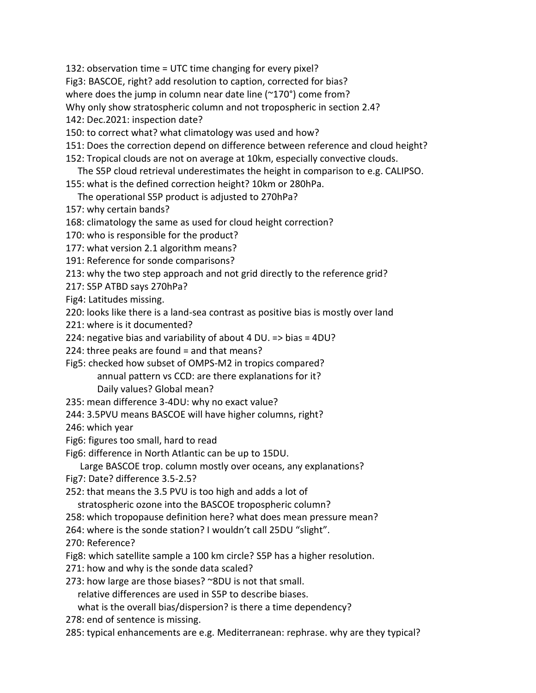132: observation time = UTC time changing for every pixel?

Fig3: BASCOE, right? add resolution to caption, corrected for bias?

where does the jump in column near date line (~170°) come from?

Why only show stratospheric column and not tropospheric in section 2.4?

142: Dec.2021: inspection date?

150: to correct what? what climatology was used and how?

151: Does the correction depend on difference between reference and cloud height?

152: Tropical clouds are not on average at 10km, especially convective clouds.

The S5P cloud retrieval underestimates the height in comparison to e.g. CALIPSO.

155: what is the defined correction height? 10km or 280hPa.

The operational S5P product is adjusted to 270hPa?

157: why certain bands?

168: climatology the same as used for cloud height correction?

170: who is responsible for the product?

177: what version 2.1 algorithm means?

191: Reference for sonde comparisons?

213: why the two step approach and not grid directly to the reference grid?

217: S5P ATBD says 270hPa?

Fig4: Latitudes missing.

220: looks like there is a land-sea contrast as positive bias is mostly over land

221: where is it documented?

224: negative bias and variability of about 4 DU. => bias = 4DU?

224: three peaks are found = and that means?

Fig5: checked how subset of OMPS-M2 in tropics compared? annual pattern vs CCD: are there explanations for it? Daily values? Global mean?

235: mean difference 3-4DU: why no exact value?

244: 3.5PVU means BASCOE will have higher columns, right?

246: which year

Fig6: figures too small, hard to read

Fig6: difference in North Atlantic can be up to 15DU.

Large BASCOE trop. column mostly over oceans, any explanations?

Fig7: Date? difference 3.5-2.5?

252: that means the 3.5 PVU is too high and adds a lot of

stratospheric ozone into the BASCOE tropospheric column?

258: which tropopause definition here? what does mean pressure mean?

264: where is the sonde station? I wouldn't call 25DU "slight".

270: Reference?

Fig8: which satellite sample a 100 km circle? S5P has a higher resolution.

271: how and why is the sonde data scaled?

273: how large are those biases? ~8DU is not that small.

relative differences are used in S5P to describe biases.

what is the overall bias/dispersion? is there a time dependency?

278: end of sentence is missing.

285: typical enhancements are e.g. Mediterranean: rephrase. why are they typical?